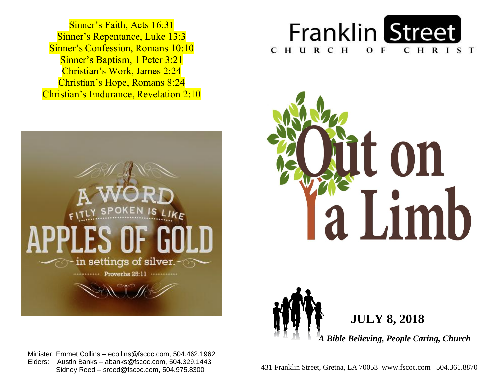Sinner's Repentance, Luke 13:3 **Sinner's Confession, Romans 10:10 Sinner's Baptism, 1 Peter 3:21**  Christian's Work, James 2:24  Christian's Hope, Romans 8:24  Christian's Endurance, Revelation 2:10 Sinner's Faith, Acts 16:31









 Minister: Emmet Collins – ecollins@fscoc.com, 504.462.1962  Elders: Austin Banks – abanks@fscoc.com, 504.329.1443